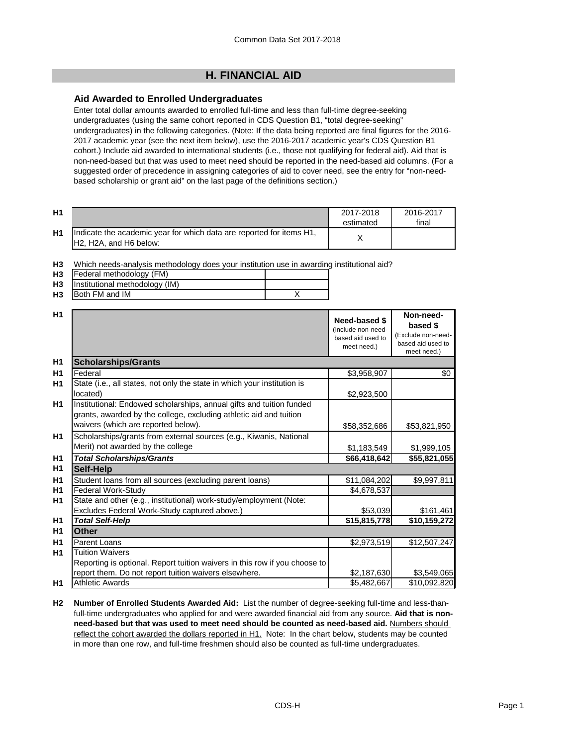# **H. FINANCIAL AID**

#### **Aid Awarded to Enrolled Undergraduates**

Enter total dollar amounts awarded to enrolled full-time and less than full-time degree-seeking undergraduates (using the same cohort reported in CDS Question B1, "total degree-seeking" undergraduates) in the following categories. (Note: If the data being reported are final figures for the 2016- 2017 academic year (see the next item below), use the 2016-2017 academic year's CDS Question B1 cohort.) Include aid awarded to international students (i.e., those not qualifying for federal aid). Aid that is non-need-based but that was used to meet need should be reported in the need-based aid columns. (For a suggested order of precedence in assigning categories of aid to cover need, see the entry for "non-needbased scholarship or grant aid" on the last page of the definitions section.)

| H1 |                                                                                                 | 2017-2018<br>estimated | 2016-2017<br>final |
|----|-------------------------------------------------------------------------------------------------|------------------------|--------------------|
| H1 | Indicate the academic year for which data are reported for items H1,<br>IH2. H2A. and H6 below: |                        |                    |

**H3** Which needs-analysis methodology does your institution use in awarding institutional aid?

| H <sub>3</sub> | Federal methodology (FM)            |  |
|----------------|-------------------------------------|--|
|                | H3   Institutional methodology (IM) |  |
| H <sub>3</sub> | Both FM and IM                      |  |

| H1             |                                                                                                                                                                                   | Need-based \$<br>(Include non-need-<br>based aid used to<br>meet need.) | Non-need-<br>based \$<br>(Exclude non-need-<br>based aid used to<br>meet need.) |
|----------------|-----------------------------------------------------------------------------------------------------------------------------------------------------------------------------------|-------------------------------------------------------------------------|---------------------------------------------------------------------------------|
| H <sub>1</sub> | <b>Scholarships/Grants</b>                                                                                                                                                        |                                                                         |                                                                                 |
| H1             | Federal                                                                                                                                                                           | \$3,958,907                                                             | \$0                                                                             |
| H1             | State (i.e., all states, not only the state in which your institution is<br>located)                                                                                              | \$2,923,500                                                             |                                                                                 |
| H1             | Institutional: Endowed scholarships, annual gifts and tuition funded<br>grants, awarded by the college, excluding athletic aid and tuition<br>waivers (which are reported below). | \$58,352,686                                                            | \$53,821,950                                                                    |
| H1             | Scholarships/grants from external sources (e.g., Kiwanis, National<br>Merit) not awarded by the college                                                                           | \$1,183,549                                                             | \$1,999,105                                                                     |
| H <sub>1</sub> | <b>Total Scholarships/Grants</b>                                                                                                                                                  | \$66,418,642                                                            | \$55,821,055                                                                    |
| H <sub>1</sub> | Self-Help                                                                                                                                                                         |                                                                         |                                                                                 |
| H1             | Student loans from all sources (excluding parent loans)                                                                                                                           | \$11,084,202                                                            | \$9,997,811                                                                     |
| H1             | Federal Work-Study                                                                                                                                                                | \$4,678,537                                                             |                                                                                 |
| H1             | State and other (e.g., institutional) work-study/employment (Note:                                                                                                                |                                                                         |                                                                                 |
|                | Excludes Federal Work-Study captured above.)                                                                                                                                      | \$53,039                                                                | \$161,461                                                                       |
| H <sub>1</sub> | <b>Total Self-Help</b>                                                                                                                                                            | \$15,815,778                                                            | \$10,159,272                                                                    |
| H1             | <b>Other</b>                                                                                                                                                                      |                                                                         |                                                                                 |
| H1             | <b>Parent Loans</b>                                                                                                                                                               | \$2,973,519                                                             | \$12,507,247                                                                    |
| H1             | <b>Tuition Waivers</b>                                                                                                                                                            |                                                                         |                                                                                 |
|                | Reporting is optional. Report tuition waivers in this row if you choose to                                                                                                        |                                                                         |                                                                                 |
|                | report them. Do not report tuition waivers elsewhere.                                                                                                                             | \$2,187,630                                                             | \$3,549,065                                                                     |
| H <sub>1</sub> | <b>Athletic Awards</b>                                                                                                                                                            | \$5,482,667                                                             | \$10,092,820                                                                    |

**H2 Number of Enrolled Students Awarded Aid:** List the number of degree-seeking full-time and less-thanfull-time undergraduates who applied for and were awarded financial aid from any source. **Aid that is non**need-based but that was used to meet need should be counted as need-based aid. Numbers should reflect the cohort awarded the dollars reported in H1. Note: In the chart below, students may be counted in more than one row, and full-time freshmen should also be counted as full-time undergraduates.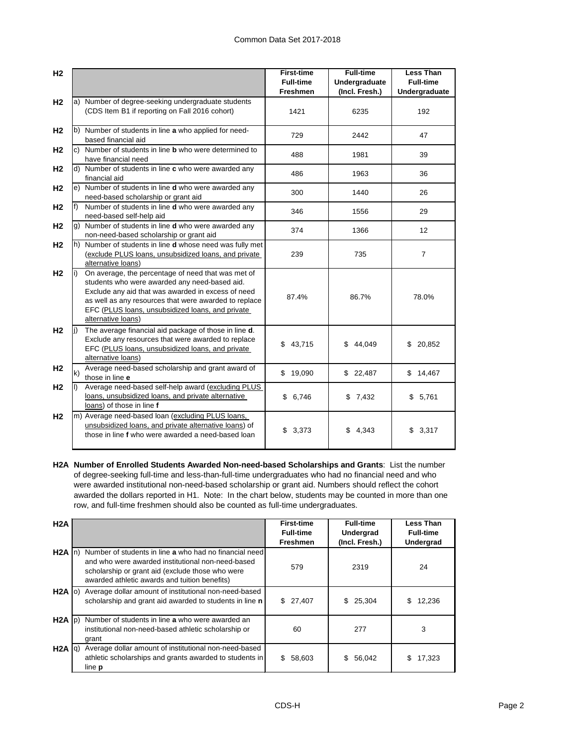| H <sub>2</sub> |              |                                                                                                                                                                                                                                                                                              | <b>First-time</b>                   | <b>Full-time</b>                | <b>Less Than</b>                  |
|----------------|--------------|----------------------------------------------------------------------------------------------------------------------------------------------------------------------------------------------------------------------------------------------------------------------------------------------|-------------------------------------|---------------------------------|-----------------------------------|
|                |              |                                                                                                                                                                                                                                                                                              | <b>Full-time</b><br><b>Freshmen</b> | Undergraduate<br>(Incl. Fresh.) | <b>Full-time</b><br>Undergraduate |
| H <sub>2</sub> |              | a) Number of degree-seeking undergraduate students<br>(CDS Item B1 if reporting on Fall 2016 cohort)                                                                                                                                                                                         | 1421                                | 6235                            | 192                               |
| H <sub>2</sub> |              | b) Number of students in line a who applied for need-<br>based financial aid                                                                                                                                                                                                                 | 729                                 | 2442                            | 47                                |
| H <sub>2</sub> |              | c) Number of students in line <b>b</b> who were determined to<br>have financial need                                                                                                                                                                                                         | 488                                 | 1981                            | 39                                |
| H <sub>2</sub> |              | d) Number of students in line c who were awarded any<br>financial aid                                                                                                                                                                                                                        | 486                                 | 1963                            | 36                                |
| H <sub>2</sub> |              | e) Number of students in line <b>d</b> who were awarded any<br>need-based scholarship or grant aid                                                                                                                                                                                           | 300                                 | 1440                            | 26                                |
| H <sub>2</sub> | f            | Number of students in line d who were awarded any<br>need-based self-help aid                                                                                                                                                                                                                | 346                                 | 1556                            | 29                                |
| H <sub>2</sub> |              | g) Number of students in line <b>d</b> who were awarded any<br>non-need-based scholarship or grant aid                                                                                                                                                                                       | 374                                 | 1366                            | $12 \overline{ }$                 |
| H <sub>2</sub> |              | h) Number of students in line <b>d</b> whose need was fully met<br>(exclude PLUS loans, unsubsidized loans, and private<br>alternative loans)                                                                                                                                                | 239                                 | 735                             | $\overline{7}$                    |
| H <sub>2</sub> | li)          | On average, the percentage of need that was met of<br>students who were awarded any need-based aid.<br>Exclude any aid that was awarded in excess of need<br>as well as any resources that were awarded to replace<br>EFC (PLUS loans, unsubsidized loans, and private<br>alternative loans) | 87.4%                               | 86.7%                           | 78.0%                             |
| H <sub>2</sub> | li)          | The average financial aid package of those in line d.<br>Exclude any resources that were awarded to replace<br>EFC (PLUS loans, unsubsidized loans, and private<br>alternative loans)                                                                                                        | 43,715<br>\$                        | \$44,049                        | 20,852<br>\$                      |
| H <sub>2</sub> | $\mathsf{k}$ | Average need-based scholarship and grant award of<br>those in line e                                                                                                                                                                                                                         | \$19,090                            | \$22,487                        | \$14,467                          |
| H <sub>2</sub> | II)          | Average need-based self-help award (excluding PLUS<br>loans, unsubsidized loans, and private alternative<br>loans) of those in line f                                                                                                                                                        | \$6,746                             | \$7,432                         | \$5,761                           |
| H <sub>2</sub> |              | m) Average need-based loan (excluding PLUS loans,<br>unsubsidized loans, and private alternative loans) of<br>those in line f who were awarded a need-based loan                                                                                                                             | 3,373<br>\$                         | 4,343<br>\$                     | \$3,317                           |

**H2A Number of Enrolled Students Awarded Non-need-based Scholarships and Grants**: List the number of degree-seeking full-time and less-than-full-time undergraduates who had no financial need and who were awarded institutional non-need-based scholarship or grant aid. Numbers should reflect the cohort awarded the dollars reported in H1. Note: In the chart below, students may be counted in more than one row, and full-time freshmen should also be counted as full-time undergraduates.

| H2A               |                                                                                                                                                                                                                  | <b>First-time</b><br><b>Full-time</b><br><b>Freshmen</b> | <b>Full-time</b><br>Undergrad<br>(Incl. Fresh.) | <b>Less Than</b><br><b>Full-time</b><br><b>Undergrad</b> |
|-------------------|------------------------------------------------------------------------------------------------------------------------------------------------------------------------------------------------------------------|----------------------------------------------------------|-------------------------------------------------|----------------------------------------------------------|
| $H2A \mid n$      | Number of students in line a who had no financial need<br>and who were awarded institutional non-need-based<br>scholarship or grant aid (exclude those who were<br>awarded athletic awards and tuition benefits) | 579                                                      | 2319                                            | 24                                                       |
|                   | H2A (o) Average dollar amount of institutional non-need-based<br>scholarship and grant aid awarded to students in line n                                                                                         | \$27,407                                                 | 25,304<br>\$                                    | \$.<br>12,236                                            |
|                   | H2A (p) Number of students in line a who were awarded an<br>institutional non-need-based athletic scholarship or<br>grant                                                                                        | 60                                                       | 277                                             | 3                                                        |
| $H2A$ $ q\rangle$ | Average dollar amount of institutional non-need-based<br>athletic scholarships and grants awarded to students in<br>line <b>p</b>                                                                                | \$.<br>58,603                                            | 56,042<br>\$                                    | \$<br>17,323                                             |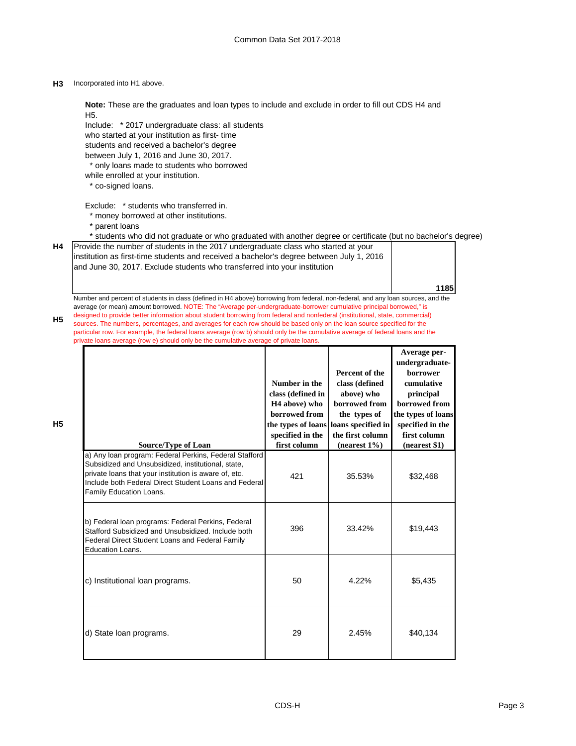**H3** Incorporated into H1 above.

**H4**

**H5**

**H5**

Include: \* 2017 undergraduate class: all students who started at your institution as first- time students and received a bachelor's degree between July 1, 2016 and June 30, 2017. \* only loans made to students who borrowed while enrolled at your institution. \* co-signed loans. Exclude: \* students who transferred in. \* money borrowed at other institutions. \* parent loans \* students who did not graduate or who graduated with another degree or certificate (but no bachelor's degree) **1185** a) Any loan program: Federal Perkins, Federal Stafford Subsidized and Unsubsidized, institutional, state, private loans that your institution is aware of, etc. Include both Federal Direct Student Loans and Federal Family Education Loans. 421 35.53% \$32,468 b) Federal loan programs: Federal Perkins, Federal Stafford Subsidized and Unsubsidized. Include both Federal Direct Student Loans and Federal Family Education Loans. 396 33.42% \$19,443 c) Institutional loan programs.  $\begin{array}{ccc} \hline \text{50} & 4.22\% \\ \hline \end{array}$  \$5,435 d) State loan programs. 29 2.45%  $\left| \right|$  \$40,134 **Note:** These are the graduates and loan types to include and exclude in order to fill out CDS H4 and H5. Provide the number of students in the 2017 undergraduate class who started at your institution as first-time students and received a bachelor's degree between July 1, 2016 and June 30, 2017. Exclude students who transferred into your institution Number and percent of students in class (defined in H4 above) borrowing from federal, non-federal, and any loan sources, and the average (or mean) amount borrowed. NOTE: The "Average per-undergraduate-borrower cumulative principal borrowed," is designed to provide better information about student borrowing from federal and nonfederal (institutional, state, commercial) sources. The numbers, percentages, and averages for each row should be based only on the loan source specified for the particular row. For example, the federal loans average (row b) should only be the cumulative average of federal loans and the private loans average (row e) should only be the cumulative average of private loans. **Source/Type of Loan Number in the class (defined in H4 above) who borrowed from the types of loans specified in the first column Percent of the class (defined above) who borrowed from the types of loans specified in the first column (nearest 1%) Average perundergraduateborrower cumulative principal borrowed from the types of loans specified in the first column (nearest \$1)**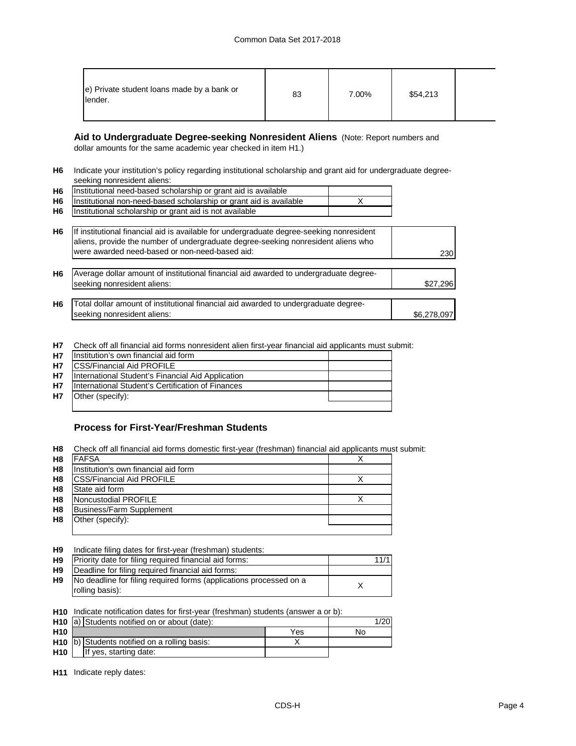| e) Private student loans made by a bank or<br>lender. | 83 | 7.00% | \$54,213 |  |
|-------------------------------------------------------|----|-------|----------|--|
|-------------------------------------------------------|----|-------|----------|--|

# **Aid to Undergraduate Degree-seeking Nonresident Aliens** (Note: Report numbers and

dollar amounts for the same academic year checked in item H1.)

**H6** Indicate your institution's policy regarding institutional scholarship and grant aid for undergraduate degreeseeking nonresident aliens:

| H <sub>6</sub> | Institutional need-based scholarship or grant aid is available          |  |
|----------------|-------------------------------------------------------------------------|--|
|                | H6   Institutional non-need-based scholarship or grant aid is available |  |
| <b>H6</b>      | Institutional scholarship or grant aid is not available                 |  |

| H <sub>6</sub> | If institutional financial aid is available for undergraduate degree-seeking nonresident<br>aliens, provide the number of undergraduate degree-seeking nonresident aliens who |             |
|----------------|-------------------------------------------------------------------------------------------------------------------------------------------------------------------------------|-------------|
|                | were awarded need-based or non-need-based aid:                                                                                                                                | 230         |
|                |                                                                                                                                                                               |             |
| H <sub>6</sub> | Average dollar amount of institutional financial aid awarded to undergraduate degree-                                                                                         |             |
|                | seeking nonresident aliens:                                                                                                                                                   | \$27,296    |
|                |                                                                                                                                                                               |             |
| H <sub>6</sub> | Total dollar amount of institutional financial aid awarded to undergraduate degree-                                                                                           |             |
|                | seeking nonresident aliens:                                                                                                                                                   | \$6,278,097 |

**H7** Check off all financial aid forms nonresident alien first-year financial aid applicants must submit:

| <b>H7</b> | Institution's own financial aid form              |  |  |  |
|-----------|---------------------------------------------------|--|--|--|
| <b>H7</b> | <b>ICSS/Financial Aid PROFILE</b>                 |  |  |  |
| <b>H7</b> | International Student's Financial Aid Application |  |  |  |
| <b>H7</b> | International Student's Certification of Finances |  |  |  |
| <b>H7</b> | Other (specify):                                  |  |  |  |
|           |                                                   |  |  |  |

## **Process for First-Year/Freshman Students**

**H8** Check off all financial aid forms domestic first-year (freshman) financial aid applicants must submit:

| H <sub>8</sub> | <b>FAFSA</b>                         |  |
|----------------|--------------------------------------|--|
| H <sub>8</sub> | Institution's own financial aid form |  |
| H <sub>8</sub> | <b>CSS/Financial Aid PROFILE</b>     |  |
| H <sub>8</sub> | State aid form                       |  |
| H <sub>8</sub> | Noncustodial PROFILE                 |  |
| H <sub>8</sub> | Business/Farm Supplement             |  |
| H <sub>8</sub> | Other (specify):                     |  |
|                |                                      |  |

| H <sub>9</sub> |  |  | Indicate filing dates for first-year (freshman) students: |  |
|----------------|--|--|-----------------------------------------------------------|--|
|----------------|--|--|-----------------------------------------------------------|--|

| H9        | Priority date for filing required financial aid forms:             | 11/1 |
|-----------|--------------------------------------------------------------------|------|
| H9        | Deadline for filing required financial aid forms:                  |      |
| <b>H9</b> | No deadline for filing required forms (applications processed on a |      |
|           | rolling basis):                                                    |      |
|           |                                                                    |      |

**H10** Indicate notification dates for first-year (freshman) students (answer a or b):

|                 | <b>H10</b> a) Students notified on or about (date): | 1/20 |    |
|-----------------|-----------------------------------------------------|------|----|
| H <sub>10</sub> |                                                     | Yes  | Nο |
|                 | H10 (b) Students notified on a rolling basis:       |      |    |
| H <sub>10</sub> | If yes, starting date:                              |      |    |

**H11** Indicate reply dates: